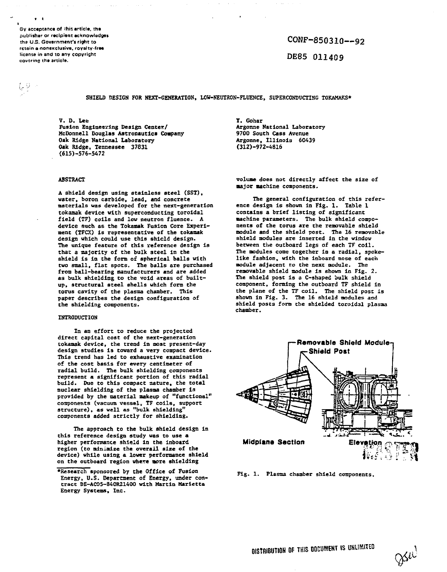**QV acceptance of -hiz article, the publisher or reclptant acknowledges the U.S. Government's right to retain a nonexcluiive, royalty-free license in and to any copyright covering the article.**

 $\sim$   $\sim$ 

(2)

 $CONF-850310--92$ 

DE85 011409

**SHIELD SESIGN FOR NEXT-GENERATION, LOW-NEUTROK-FLUENCE, SUPERCONDUCTING TOKAKAKS\***

**V. D. Lee Fusion Engineering Design Center/ McDonnell Douglas Astronautics Company Oak Ridge National Laboratory Oak Ridge, Tennessee 37631 <615)-576-5472**

#### **ABSTRACT**

**A shield design using stainless steel (SST), water, boron carbide, lead, and concrete materials was developed for the next-generation tokamak device with superconducting toroidal field (TF) coils and low neutron fluence. A device such as the Tokamak Fusion Core Experiment (TFCX) is representative of the tokamak design which could use this shield design. The unique feature of this reference design is that a majority of the bulk steel in the shield is in the form of spherical balls with two small, flat spots. The balls are purchased from ball-bearing manufacturers and are added as bulk shielding to the void areas of builtup, structural steel shells which form the torus cavity of the plasma chamber. This paper describes the design configuration of the shielding components.**

#### **INTRODUCTION**

**In an effort to reduce the projected direct capital cost of the next-generation tokamak device, the trend in most present-day design studies Is toward a very compact device. This trend has led to exhaustive examination of the cost basis for every centimeter of radial build. The bulk shielding components represent a significant portion of this radial build. Due to this compact nature, the total** nuclear shielding of the plasma chamber is **provided by the material makeup of "functional" components (vacuum vessel, TF coils, support structure), as well as "bulk shielding" components added strictly for shielding.**

**The approach to the bulk shield design in this reference design study was to use a higher performance shield in the inboard region (to minimize the overall size of the device) while using a lower performance shield on the outboard region where more shielding**

**T. Gonar Argonne National Laboratory 9700 South Cass Avenue Argonne, Illinois 60439 (312)-972-4816**

**volume does not directly affect the size of major machine components.**

**The general configuration of this reference design ie shown in Fig. 1. Table 1 contains a brief listing of significant machine parameters. The bulk shield components of the torus are the removable shield module and the shield post. The 16 removable shield modules are inserted in the window between the outboard legs of each 7F coil. The modules come together in a radial, spokelike fashion, with the inboard nose of each module adjacent to the next module. The removable shield module is shown in Fig. 2. The shield post is a C-shaped bulk shield component, forming the outboard TF shield in the plane of the TF coil. The shield post is shown in Fig. 3. The 16 shield modules and shield posts farm the shielded toroidal plasma chamber.**



**Fig. 1. Plasma chamber shield components.**

**<sup>•</sup>Research sponsored by the Office of Fusion Energy, U.S. Department of Energy, under contract DE-AC05-840R21400 with Martin Marietta Energy Systems, Inc.**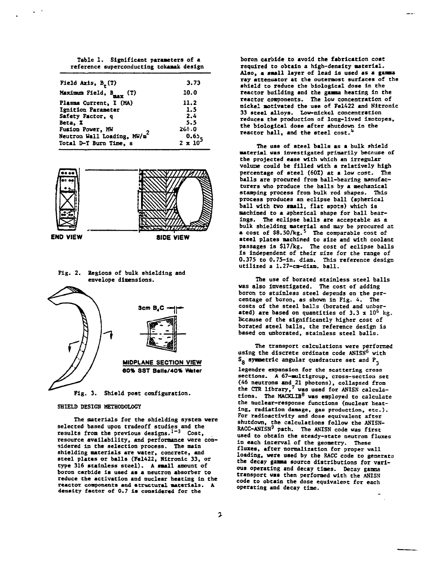| Table 1. Significant parameters of a     |  |
|------------------------------------------|--|
| reference superconducting tokamak design |  |

| Field Axis, $B_r(T)$                    | 3.73          |
|-----------------------------------------|---------------|
| Maximum Field, B <sub>max</sub> (T)     | 10.0          |
| Plasma Current, I (MA)                  | 11.2          |
| Ignition Parameter                      | 1.5           |
| Safety Factor, q                        | 2.4           |
| Beta. X                                 | 5.5           |
| Fusion Power, MW                        | 264.0         |
| Neutron Wall Loading, MW/m <sup>2</sup> | 0.65.         |
| Total D-T Burn Time, s                  | $2 \times 10$ |
|                                         |               |



**Fig. 2. Zegions of bulk shielding and envelope dimensions.**



**SHIELD DESIGN METHODOLOGY**

**The materials for the shielding system were selected based upon tradeoff studies and the results from the previous designs.<sup>1</sup>' <sup>3</sup> Cost, resource availability, and performance were considered in the selection process. The main shielding materials are water, concrete, and steel plates or balls (Fel422, Nitronic 33, or type 316 stainless steel). A small amount of boron carbide is used as a neutron absorber to reduce the activation and nuclear heating in the reactor components and structural materials. A density factor of 0.7 is considered for the**

**boron carbide to avoid the fabrication cost required to obtain a high-density material. Also, a small layer of lead is used as a gamma ray attenuator at the outermost surfaces of the shield to reduce the biological dose in the reactor building and the gamma heating In the reactor components. The low concentration of nickel motivated the use of Fel422 and Hitronic 33 steel alloys. Low-nickel concentration reduces the production of long-lived isotopes, the biological dose after shutdown in the reactor hall, and the steel cost.<sup>4</sup>**

**The use of steel balls as a bulk shield material was investigated primarily because of the projected ease with which an irregular volune could be filled with a relatively high percentage of steel (60Z) at a low cost. The balls are procured froo ball-bearing manufacturers who produce the balls by a mechanical stamping process from bulk rod shapes. This process produces an eclipse ball (spherical ball with two small, flat spots) which is machined to a apherlcal shape for ball bearings. The eclipse balls are acceptable as a bulk shielding material and may be procured at a cost of \$8.50/kg.<sup>5</sup> The comparable cost of steel plates machined to size and with coolant passages Is \$17/kg. The cost of eclipse balls is independent of their size for the range of 0.375 to 0.75-in. diam. This reference design utilized a 1.27-cm-diam. ball.**

**The use of borated stainless steel balls was also investigated. The cost of adding boron to stainless steel depends on the percentage of boron, as shown in Fig. 4. The costs of the steel balls (borated and unbor**ated) are based on quantities of  $3.3 \times 10^6$  kg. **Because of the significantly higher cost of borated steel balls, the reference design is based on unborated, stainless steel balls.**

**The transport calculations were performed using the discrete ordinate code ANISN<sup>6</sup> with Sg symmetric angular quadrature set and P.**

**legendre expansion for the scattering cross sections. A 67-ultigroup, cross-section set (46 neutrons and\_21 photons), collapsed from the CTR library,<sup>7</sup> was used for ANISN calculations. The MACKLIB<sup>8</sup> was employed to calculate the nuclear-response functions (nuclear heating, radiation damage, gas production, etc.). For radioactivity and dose equivalent after shutdown, the calculations follow the ANISN-RACC-ANISN<sup>9</sup> path. The ANISN code was first used to obtain the steady-state neutron fluxes in each interval of the geometry. These fluxes, after normalization for proper vail loading, were used by the RACC code to generate the decay gamma source distributions for vari**ous operating and decay times. Decay gamma **transport was then performed with the ANISN code to obtain the dose equivalent for each operating and decay time.**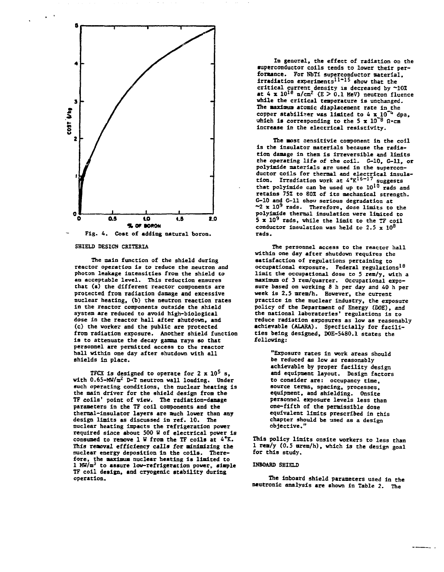

**SHIELD DESIGN CRITERIA**

**The main function of the shield during reactor operation is to reduce the neutron and photon leakage intensities from the shield to an acceptable level. This reduction ensures that (a) the different reactor components are protected from radiation damage and excessive nuclear heating, (b) the neutron reaction rates in the reactor components outside the shield system are reduced to avoid high-biological dose in the reactor hall after shutdown, and (c) the worker and the public are protected from radiation exposure. Another shield function is to attenuate the decay gamma rays so that personnel are permitted access to the reactor hall within one day after shutdown with all shields In place.**

**TFCX Is designed to operate for 2 x 10<sup>5</sup> s, with 0.65-MW/m<sup>2</sup> D-T neutron wall loading. Under such operating conditions, the nuclear heating is the main driver for the shield design from the TF coils' point of view. The radiation-damage parameters in the TF coil components and the thermal-insulator layers are ouch lower than any design limits as discussed in ref. 10. The nuclear heating Impacts the refrigeration power required since about 500 H of electrical power is consumed to remove 1 W from the TF colls at 4\*K. This removal efficiency calls for minimizing the nuclear energy deposition In the coils. Therefore, the maximum nuclear heating is limited to 1 Ktf/m<sup>3</sup> to assure low-refrigeration power, simple TF coil design, and cryogenic stability during operation.**

**In general, the effect of radiation on the superconductor coils tends to lower their performance. For HbTi superconductor material, irradiation experiments<sup>11</sup>" <sup>15</sup> show that the critical current density is decreased by ~10Z** at  $4 \times 10^{18}$   $\text{n/cm}^2$  (E > 0.1 MeV) neutron fluence **while the critical temperature Is unchanged.** The maximum atomic displacement rate in the copper stabilizer was limited to 4 x 10<sup>-4</sup> dpa. **copper stabiliser was limited to 4 x^lO"<sup>1</sup>\* dpa, ahleh is corresponding to the 5 x 10~<sup>8</sup> fl-cm increase in the electrical resistivity.**

**The most eensltlvie component in the coil is the insulator materials because the radiation damage in them is irreversible and limits the operating life of the coil. G-10, G-ll, or polyimide materials are used in the superconductor coils for thermal and electrical insula-tion. Irradiation work at 4°K1 6 ~ <sup>1</sup> <sup>7</sup> suggests that polyimide can be used up to 10<sup>1</sup> <sup>0</sup> rads and retains 75Z to 80Z of its mechanical strength. G-10 and G-ll shoo serious degradation at ~2 x 10<sup>9</sup> rads. Therefore, dose limits to the polyimide thermal insulation were limited to 5 x 10<sup>9</sup> rads, vhile the limit to the TF coil** conductor insulation was held to  $2.5 \times 10^8$ **rads.**

**The personnel access to the reactor hall within one day after shutdown requires the satisfaction of regulations pertaining to occupational exposure. Federal regulations<sup>18</sup> limit the occupational dose to 5 rem/y, with a. maximum of 3 rem/quarter. Occupational exposure based on working 8 h per day and 40 h per week is 2.5 mrem/h. However, the current practice In the nuclear industry, the exposure policy of the Department of Energy (DOE), and the national laboratories' regulations is to reduce radiation exposures as low as reasonably achievable (ALARA). Specficially for facilities being designed, DOE-5480.1 states the following:**

**"Exposure rates in work areas should be reduced as low as reasonably achievable by proper facility design and equipment layout. Design factors to consider are: occupancy time, source terms, spacing, processes, equipment, and shielding. Onsite personnel exposure levels less than one-fifth of the permissible dose equivalent limits prescribed in this chapter should be used as a design objective."**

**This policy limits onsite workers to less than 1 rea/y (0.5 mrem/h), which is the design goal for this study.**

## **INBOARD SHIELD**

**The inboard shield parameters used in the neutronic analysis are shown in Table 2. The**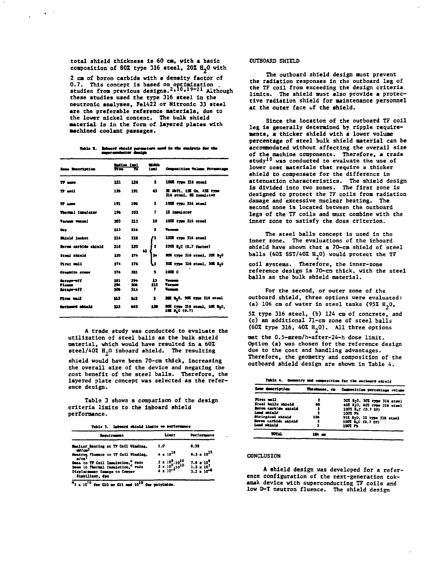total shield thickness is 60 cm, with a basic composition of 80% type 316 steel, 20% H<sub>2</sub>O with

2 cm of boron carbide with a density factor of 0.7. This concept is based on optimization<br>studies from previous designs.<sup>2,10,19-21</sup> Although these studies used the type 316 steel in the neutronic analyses, Fel422 or Nitronic 33 steel are the preferable reference materials, due to the lower nickel content. The bulk shield material is in the form of layered plates with machined coolant passages.

| Table 1. Soboard shield permusers mad in the emirate for the |  |  |  |
|--------------------------------------------------------------|--|--|--|
| august nominant auf deutgen.                                 |  |  |  |

| <b>Essa Recription</b>           |                   | letim (m)         | --<br>(m)      | Cruposition Volume Persontage                                     |
|----------------------------------|-------------------|-------------------|----------------|-------------------------------------------------------------------|
| 77 anns                          | 121               | 116               | s              | 100% type 316 steel                                               |
| 17 mil                           | 126               | 191               | 63             | <b>я мл. 13 с. 43 гле</b><br>316 steel. El implicer               |
| $T$ case                         | 191               | 196               | л              | 100 type 316 steel                                                |
| Thormal immulator                | 196               | 201               | 7              | 12 insulator                                                      |
| <b>Tacum votes!</b>              | 203               | 213               | 10             | 1002 type 316 steel                                               |
| Gas                              | 213               | 216               | 3              | <b>Tacana</b>                                                     |
| <b>Baisle jacket</b>             | 226               | 218               | 2              | 1000 cyps 316 steel                                               |
| Borne carbide shield             | 218               | 220               | т              | 100% B <sub>A</sub> C (0.7 factor)                                |
| <b>Steal shield</b>              | 220               | 174               | ю<br>56        | BOX type 316 steel, 202 3-0                                       |
| Pirat mil                        | 274               | 276               | L2             | 500 type 116 stock, 500 1.0                                       |
| Cresidte armer                   | 276               | 221               | 5              | 100E C                                                            |
| teran-off<br>Planna<br>Seraproff | 291<br>294<br>506 | 294<br>506<br>913 | 13<br>112<br>, | <b>Tames</b><br>Yamma<br><b>Vacuum</b>                            |
| nes ell                          | 313               | 515               | 1              | 30% % <sub>3</sub> 0, 50% type 116 etcal                          |
| انتماض لاستداءها                 | 513               | 445               | 130            | BOX type 116 stock, 100 BpD.<br>$1 \equiv 1$ <sub>4</sub> C (0.7) |

A trade study was conducted to evaluate the utilization of steel balls as the bulk shield material, which would have resulted in a 60% steel/40%  $H_2$ 0 inboard shield. The resulting

shield would have been 70-cm thick, increasing the overall size of the device and negating the cost benefit of the steel balls. Therefore, the layered plate concept was selected as the reference design.

Table 3 shows a comparison of the design criteria limits to the inboard shield performance.

| Table 3. Inboard shield limits we performance |  |  |  |  |  |  |
|-----------------------------------------------|--|--|--|--|--|--|
|-----------------------------------------------|--|--|--|--|--|--|

| <b>Regulatement</b>                                                                                                              | Listt                                                                        | Performance                                     |  |
|----------------------------------------------------------------------------------------------------------------------------------|------------------------------------------------------------------------------|-------------------------------------------------|--|
| Muclear Meating at 77 Coil Winding.<br>mi//cm <sup>3</sup>                                                                       | 1.0                                                                          | 0.58                                            |  |
| Henry Plusses to $77$ Coil Winding, $n/cn^2$                                                                                     | $4 \times 10^{18}$                                                           | $4.3 \times 10^{33}$                            |  |
| Dess to TF Coil Insulation, $a$ rads<br>Dese to Thermal Insulation, $a$ rads<br>Displacement Damage to Copper<br>Stabilizer, dps | $2 \times 10^9 - 10^{10}$<br>$2 \times 10^9 - 10^{10}$<br>$4 \times 10^{-2}$ | 7.6 = $10^9$<br>3.3 = $10^7$<br>3.2 = $10^{-6}$ |  |

 $a_2$  x 10<sup>70</sup> for G10 or G11 and 10<sup>10</sup> for polyinide.

### OUTBOARD SHIELD

The outboard shield design must prevent the radiation responses in the outboard leg of the TF coil from exceeding the design criteria limits. The shield must also provide a protective radiation shield for maintenance personnel at the outer face of the shield.

Since the location of the outboard TF coil leg is generally determined by ripple requirements, a thicker shield with a lower volume percentage of steel bulk shield material can be accommodated without affecting the overall size of the machine components. Therefore, a trade study<sup>10</sup> was conducted to evaluate the use of lower cost materials that require a thicker shield to compensate for the difference in attenuation characteristics. The shield design is divided into two zones. The first zone is designed to protect the TF coils from radiation damage and excessive nuclear heating. The second zone is located between the outboard legs of the TF coils and must combine with the inner zone to satisfy the dose criterion.

The steel balls concept is used in the inner zone. The evaluations of the inboard shield have shown that a 70-cm shield of steel balls (60% SST/40%  $H_2$ 0) would protect the TF coil systems. Therefore, the inner-zone

reference design is 70-cm thick, with the steel balls as the bulk shield material.

For the second, or outer zone of the outboard shield, three options were evaluated: (a) 106 cm of water in steel tanks (95%  $H_2O$ , 5% type 316 steel, (b) 124 cm of concrete, and<br>(c) an additional 71-cm zone of steel balls  $(60\% \text{ type } 316, 40\% \text{ H}_20)$ . All three options

met the 0.5-mrem/h-after-24-h dose limit. Option (a) was chosen for the reference design due to the cost and handling advantages. Therefore, the geometry and composition of the outboard shield design are shown in Table 4.

| Table 4. Commenty and composition for the outboars shield |
|-----------------------------------------------------------|
|                                                           |

| <b>Lour description</b> |      | Thickness, co Composition percentage volume |  |
|-------------------------|------|---------------------------------------------|--|
| fini mli                | 2    | 50% H <sub>2</sub> 0, 50% type 316 steel    |  |
| Steel balls shield      | 40   | 402 H2O, 602 type 316 steel                 |  |
| Boron cartide shield    |      | 1001 BLC (0.7 DF)                           |  |
| <b>Lond shield</b>      |      | 100175                                      |  |
| Riological shirld       | 206  | 95% N <sub>2</sub> O, 5% type 316 steel     |  |
| Serve carbide shield    |      | 100% BLC (0.7 DF)                           |  |
| <b>Lead shinld</b>      |      | 1007 PM                                     |  |
|                         | ш. — |                                             |  |
|                         |      |                                             |  |

#### CONCLUSION

A shield design was developed for a reference configuration of the next-generation tokamak device with superconducting TF coils and low D-T neutron fluence. The shield design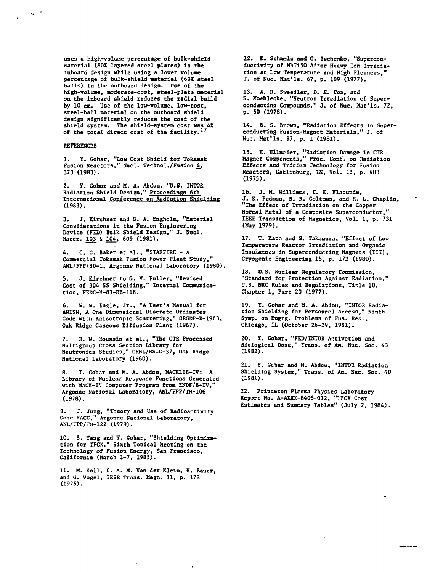**uses a high-volune percentage of bulk-shield material (801 layered steel plates) la the inboard design while using a lower volume percentage of bulk-shield material (602 steel balls) in the outboard design. Use of the** high-volume, moderate-cost, steel-plate material **on the inboard shield reduces the radial build by 10 cm. Use of the low-volume, low-cost, steel-ball material on the outboard shield design significantly reduces the cost of the shield system. The shield-system cost was 4Z of the total direct cost of the facility.<sup>17</sup>**

#### **REFERENCES**

 $\mathbf{n}=\frac{d}{2}$ 

**1. Y. Gohar, "Low Cose Shield for Tokamak** Fusion Reactors," Nucl. Technol./Fusion 4, **373 (1983).**

**2. Y. Gohar and M. A. Abdou, "U.S. INTOR Radiation Shield Design," Proceedings 6th International Conference on Radiation Shielding (1983).**

**3. J. Kirchner and B. A. Engholm, "Material Considerations in the Fusion Engineering Device (FED) Bulk Shield Design," J. Nucl.** Mater. 103 & 104, 609 (1981).

**4. C. C. Baker et al., "STARFIRE - A Commercial Tokamak Fusion Power Plant Study," ANL/FFP/80-1, Argonne National Laboratory (1980).**

**5. J. Kirchner to G. M. Fuller, "Revised Cost of 304 SS Shielding," Internal Communication, FEDC-M-83-RE-113.**

**6. W. W. Engle, Jr., "A User's Manual for ANISN, A One Dimensional Discrete Ordinates Code with Anisotropic Scattering," ORGDP-K-1963, Oak Ridge Gaseous Diffusion Plant (1967).**

**7. R. W. Roussin et al., "The CTR Processed Multigroup Cross Section Library for Neutronics Studies," ORNL/RSIC-37, Oak Ridge National Laboratory (1980).**

**8. Y. Gohar and M. A. Abdou, MACKLIB-IV: A Library of Nuclear Response Functions Generated** with MACK-IV Computer Program from ENDF/B-IV, **Argonne National Laboratory, ANL/FPP/TM-106 (1978).**

**9. J. Jung, "Theory and Use of Radioactivity Code RACC," Argonne National Laboratory, ANL/FPP/TM-122 (1979).**

**10. S. Yang and Y. Gohar, "Shielding Optimization for TFCX," Sixth Topical Meeting on the Technology of Fusion Energy, San Francisco, California (March 3-7, 1985).**

**11. M. Soil, C. A. M. Van der Klein, H. Bauer, and G. Vogel, IEEE Trans. Magn. 11, p. 173 (1975).**

**12. K. Schaslz and G. Ischenko, "Superconductivity of NbTi50 After Heavy Ion Irradiation at Low Temperature and High Fluences," J. of Nuc. Mat'Is. 67, p. 109 (1977).**

**13. A. R. Sueedler, P. £. Cox, and S. Moehlecke, "Neutron Irradiation of Super**conducting Compounds." J. of Nuc. Mat'ls. 72, **p. 50 (1978).**

**14. B. S. Brown, "Radiation Effects In Superconducting Fusion-Magnet Materials," J. of Nuc. Mat'ls. 97, p. 1 (1981).**

**15. B. Ulloaier, "Radiation Damage in CTR Magnet Components," Proc. Conf. on Radiation Effects and Tritium Technology for Fusion Reactors, Gatlinburg, TN, Vol. II, p. 403 (1975).**

**16. J. M. Williams, C. E. Klabunde, J. K. Pedman, R. R. Coltoan, and R. L. Chaplin, "The Effect of Irradiation on the Copper Normal Metal of a Composite Superconductor," IEEE Transaction of Magnetics, Vol. 1, p. 731 (May 1979).**

**17. T. Kato and S. Takaoura, "Effect of Low Temperature Reactor Irradiation and Organic Insulators in Superconducting Magnets (III), Cryogenic Engineering 15, p. 173 (1980).**

**IS. U.S. Nuclear Regulatory Commission, "Standard for Protection Against Radiation," U.S. NBC Rules and Regulations, Title 10, Chapter 1, Part 20 (1977).**

**19. Y. Gohar and M. A. Abdou, "INTOR Radiation Shielding for Personnel Access," Ninth Symp. on Engrg. Problems of Fus. Res., Chicago, IL (October 26-29, 1981).**

**20. Y. Gohar, "FED/INT0R Activation and Biological Dose," Trans, of An. Nuc. Soc. 43 (19B2).**

**21. Y. Gchar and M. Abdou, "INTOR Radiation Shielding System," Trans, of Am. Nuc. Soc. 40 (1981).**

**22. Princeton Plasma Physics Laboratory Report No. A-AXXX-8406-012, "1TCX Cost Estimates and Summary Tables" (July 2, 1984).**

----